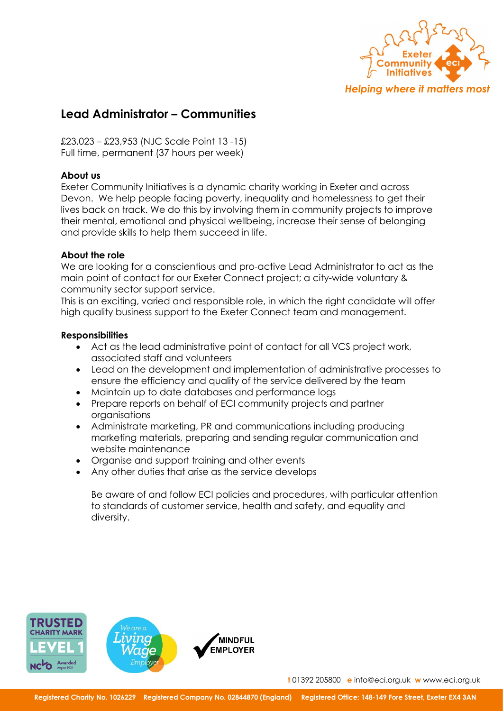

# Lead Administrator – Communities

£23,023 – £23,953 (NJC Scale Point 13 -15) Full time, permanent (37 hours per week)

# About us

Exeter Community Initiatives is a dynamic charity working in Exeter and across Devon. We help people facing poverty, inequality and homelessness to get their lives back on track. We do this by involving them in community projects to improve their mental, emotional and physical wellbeing, increase their sense of belonging and provide skills to help them succeed in life.

# About the role

We are looking for a conscientious and pro-active Lead Administrator to act as the main point of contact for our Exeter Connect project; a city-wide voluntary & community sector support service.

This is an exciting, varied and responsible role, in which the right candidate will offer high quality business support to the Exeter Connect team and management.

## **Responsibilities**

- Act as the lead administrative point of contact for all VCS project work, associated staff and volunteers
- Lead on the development and implementation of administrative processes to ensure the efficiency and quality of the service delivered by the team
- Maintain up to date databases and performance logs
- Prepare reports on behalf of ECI community projects and partner organisations
- Administrate marketing, PR and communications including producing marketing materials, preparing and sending regular communication and website maintenance
- Organise and support training and other events
- Any other duties that arise as the service develops

Be aware of and follow ECI policies and procedures, with particular attention to standards of customer service, health and safety, and equality and diversity.